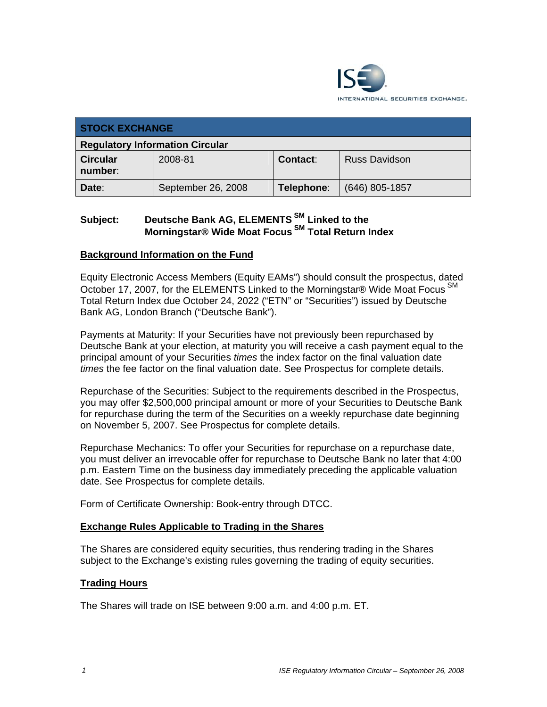

| <b>STOCK EXCHANGE</b>                  |                    |                 |                      |
|----------------------------------------|--------------------|-----------------|----------------------|
| <b>Regulatory Information Circular</b> |                    |                 |                      |
| <b>Circular</b><br>number:             | 2008-81            | <b>Contact:</b> | <b>Russ Davidson</b> |
| Date:                                  | September 26, 2008 | Telephone:      | $(646)$ 805-1857     |

# Subject: Deutsche Bank AG, ELEMENTS<sup>SM</sup> Linked to the **Morningstar® Wide Moat Focus SM Total Return Index**

### **Background Information on the Fund**

Equity Electronic Access Members (Equity EAMs") should consult the prospectus, dated October 17, 2007, for the ELEMENTS Linked to the Morningstar® Wide Moat Focus<sup>SM</sup> Total Return Index due October 24, 2022 ("ETN" or "Securities") issued by Deutsche Bank AG, London Branch ("Deutsche Bank").

Payments at Maturity: If your Securities have not previously been repurchased by Deutsche Bank at your election, at maturity you will receive a cash payment equal to the principal amount of your Securities *times* the index factor on the final valuation date *times* the fee factor on the final valuation date. See Prospectus for complete details.

Repurchase of the Securities: Subject to the requirements described in the Prospectus, you may offer \$2,500,000 principal amount or more of your Securities to Deutsche Bank for repurchase during the term of the Securities on a weekly repurchase date beginning on November 5, 2007. See Prospectus for complete details.

Repurchase Mechanics: To offer your Securities for repurchase on a repurchase date, you must deliver an irrevocable offer for repurchase to Deutsche Bank no later that 4:00 p.m. Eastern Time on the business day immediately preceding the applicable valuation date. See Prospectus for complete details.

Form of Certificate Ownership: Book-entry through DTCC.

#### **Exchange Rules Applicable to Trading in the Shares**

The Shares are considered equity securities, thus rendering trading in the Shares subject to the Exchange's existing rules governing the trading of equity securities.

#### **Trading Hours**

The Shares will trade on ISE between 9:00 a.m. and 4:00 p.m. ET.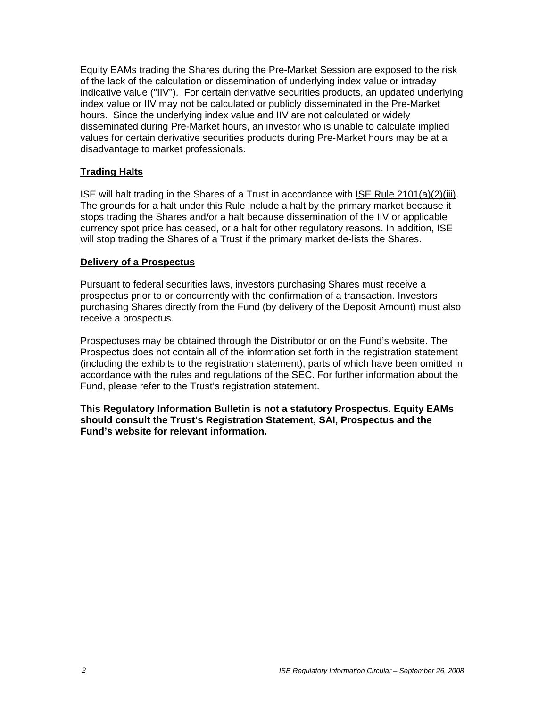Equity EAMs trading the Shares during the Pre-Market Session are exposed to the risk of the lack of the calculation or dissemination of underlying index value or intraday indicative value ("IIV"). For certain derivative securities products, an updated underlying index value or IIV may not be calculated or publicly disseminated in the Pre-Market hours. Since the underlying index value and IIV are not calculated or widely disseminated during Pre-Market hours, an investor who is unable to calculate implied values for certain derivative securities products during Pre-Market hours may be at a disadvantage to market professionals.

### **Trading Halts**

ISE will halt trading in the Shares of a Trust in accordance with ISE Rule 2101(a)(2)(iii). The grounds for a halt under this Rule include a halt by the primary market because it stops trading the Shares and/or a halt because dissemination of the IIV or applicable currency spot price has ceased, or a halt for other regulatory reasons. In addition, ISE will stop trading the Shares of a Trust if the primary market de-lists the Shares.

### **Delivery of a Prospectus**

Pursuant to federal securities laws, investors purchasing Shares must receive a prospectus prior to or concurrently with the confirmation of a transaction. Investors purchasing Shares directly from the Fund (by delivery of the Deposit Amount) must also receive a prospectus.

Prospectuses may be obtained through the Distributor or on the Fund's website. The Prospectus does not contain all of the information set forth in the registration statement (including the exhibits to the registration statement), parts of which have been omitted in accordance with the rules and regulations of the SEC. For further information about the Fund, please refer to the Trust's registration statement.

**This Regulatory Information Bulletin is not a statutory Prospectus. Equity EAMs should consult the Trust's Registration Statement, SAI, Prospectus and the Fund's website for relevant information.**